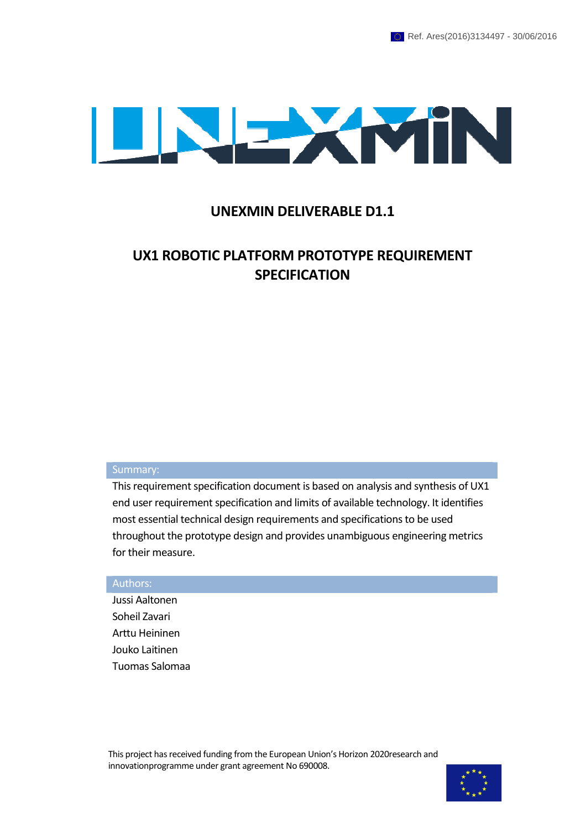

### UNEXMIN DELIVERABLE D1.1

### UX1 ROBOTIC PLATFORM PROTOTYPE REQUIREMENT **SPECIFICATION**

#### Summary:

This requirement specification document is based on analysis and synthesis of UX1 end user requirement specification and limits of available technology. It identifies most essential technical design requirements and specifications to be used throughout the prototype design and provides unambiguous engineering metrics for their measure.

#### Authors:

Jussi Aaltonen Soheil Zavari Arttu Heininen Jouko Laitinen Tuomas Salomaa

This project has received funding from the European Union's Horizon 2020research and innovationprogramme under grant agreement No 690008.

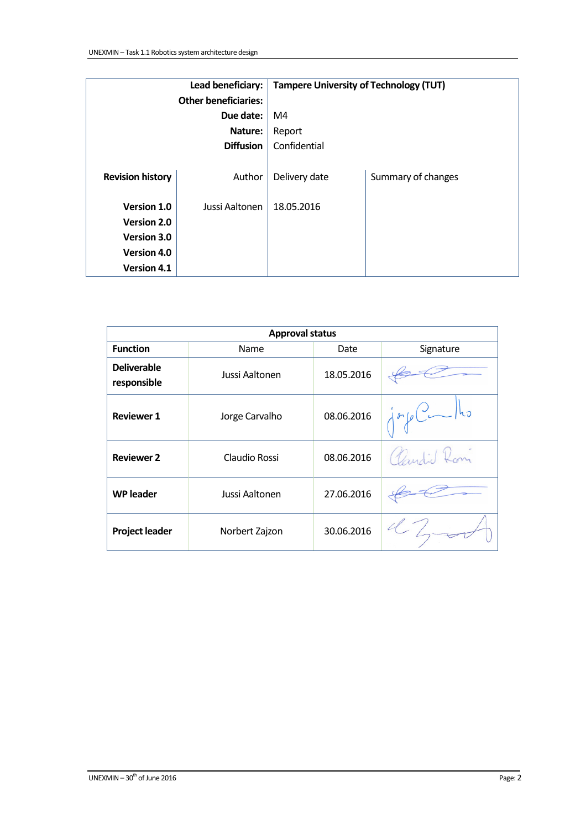| Lead beneficiary:           |                | <b>Tampere University of Technology (TUT)</b> |                    |  |
|-----------------------------|----------------|-----------------------------------------------|--------------------|--|
| <b>Other beneficiaries:</b> |                |                                               |                    |  |
| Due date:                   |                | M4                                            |                    |  |
| Nature:                     |                | Report                                        |                    |  |
| <b>Diffusion</b>            |                | Confidential                                  |                    |  |
|                             |                |                                               |                    |  |
| <b>Revision history</b>     | Author         | Delivery date                                 | Summary of changes |  |
|                             |                |                                               |                    |  |
| Version 1.0                 | Jussi Aaltonen | 18.05.2016                                    |                    |  |
| Version 2.0                 |                |                                               |                    |  |
| Version 3.0                 |                |                                               |                    |  |
| Version 4.0                 |                |                                               |                    |  |
| <b>Version 4.1</b>          |                |                                               |                    |  |

| <b>Approval status</b>            |                |            |                                              |  |
|-----------------------------------|----------------|------------|----------------------------------------------|--|
| <b>Function</b>                   | Name           | Date       | Signature                                    |  |
| <b>Deliverable</b><br>responsible | Jussi Aaltonen | 18.05.2016 |                                              |  |
| <b>Reviewer 1</b>                 | Jorge Carvalho | 08.06.2016 | $\int$ gr $\int$ g $C$<br>$ h_{\mathcal{D}}$ |  |
| <b>Reviewer 2</b>                 | Claudio Rossi  | 08.06.2016 | Candid Rom                                   |  |
| <b>WP</b> leader                  | Jussi Aaltonen | 27.06.2016 |                                              |  |
| <b>Project leader</b>             | Norbert Zajzon | 30.06.2016 |                                              |  |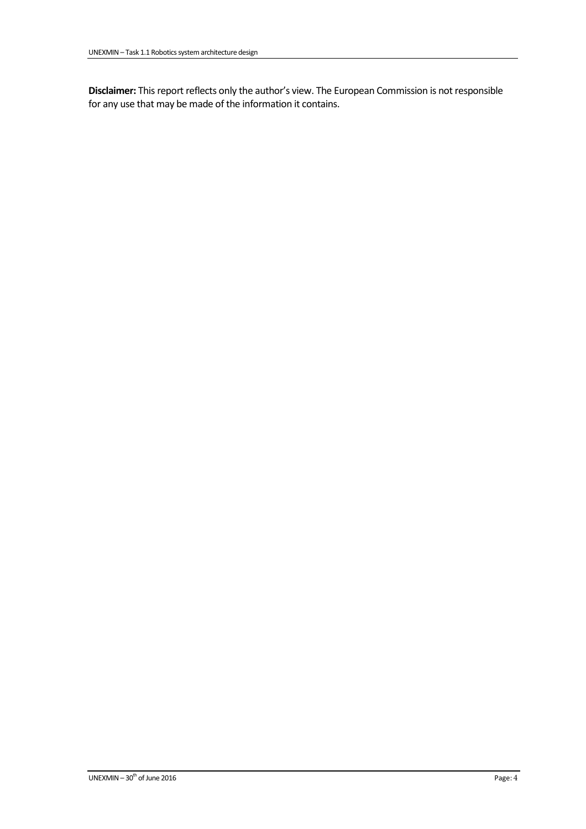Disclaimer: This report reflects only the author's view. The European Commission is not responsible for any use that may be made of the information it contains.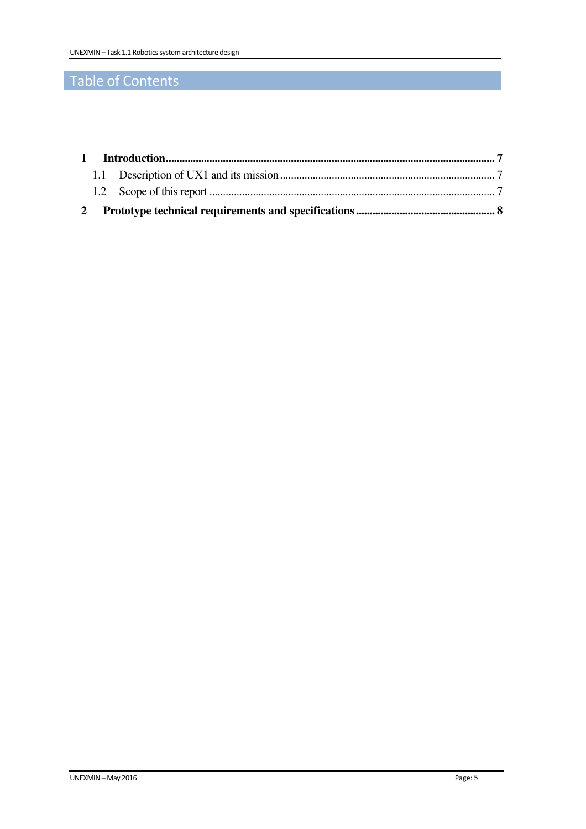## Table of Contents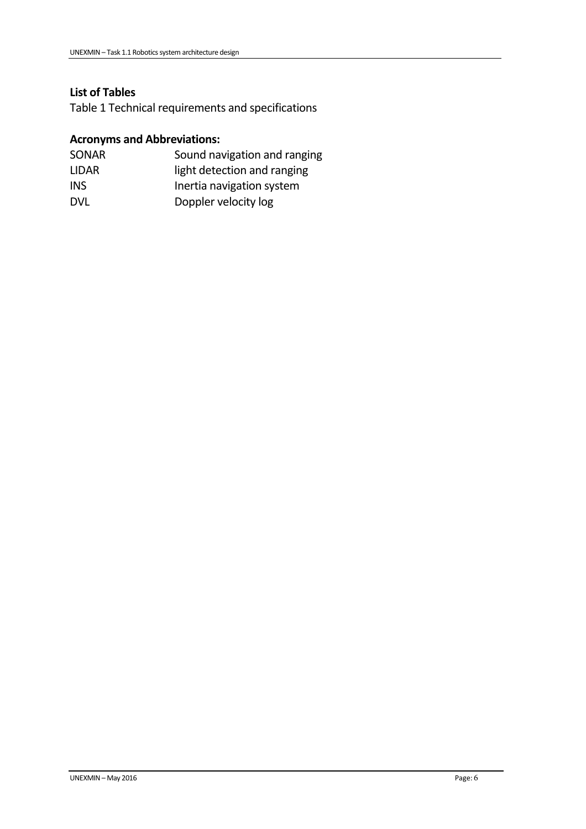### List of Tables

Table 1 Technical requirements and specifications

### Acronyms and Abbreviations:

| <b>SONAR</b> | Sound navigation and ranging |
|--------------|------------------------------|
| LIDAR.       | light detection and ranging  |
| <b>INS</b>   | Inertia navigation system    |
| <b>DVL</b>   | Doppler velocity log         |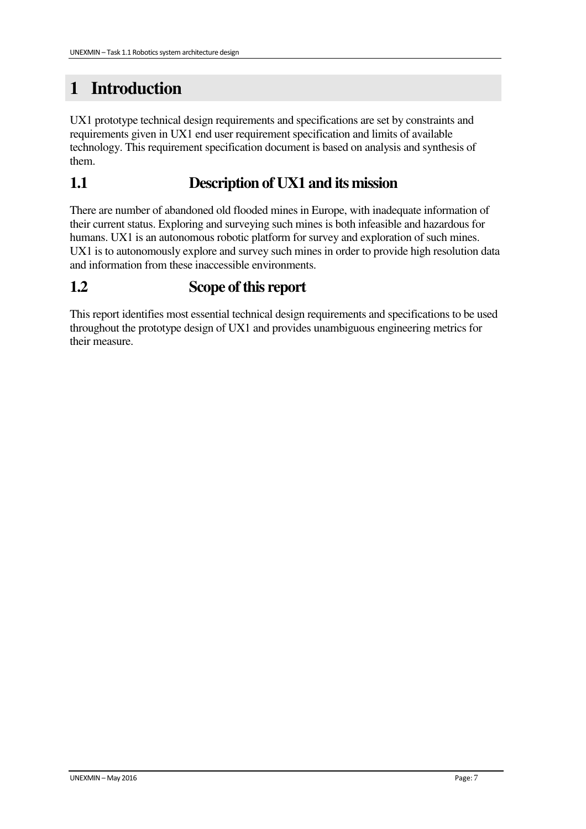# **1 Introduction**

UX1 prototype technical design requirements and specifications are set by constraints and requirements given in UX1 end user requirement specification and limits of available technology. This requirement specification document is based on analysis and synthesis of them.

## **1.1 Description of UX1 and its mission**

There are number of abandoned old flooded mines in Europe, with inadequate information of their current status. Exploring and surveying such mines is both infeasible and hazardous for humans. UX1 is an autonomous robotic platform for survey and exploration of such mines. UX1 is to autonomously explore and survey such mines in order to provide high resolution data and information from these inaccessible environments.

## **1.2 Scope of this report**

This report identifies most essential technical design requirements and specifications to be used throughout the prototype design of UX1 and provides unambiguous engineering metrics for their measure.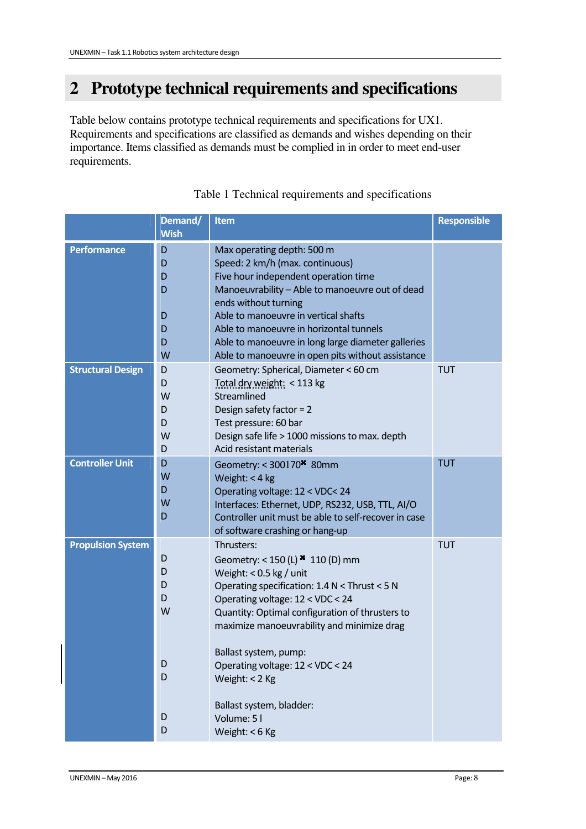# **2 Prototype technical requirements and specifications**

Table below contains prototype technical requirements and specifications for UX1. Requirements and specifications are classified as demands and wishes depending on their importance. Items classified as demands must be complied in in order to meet end-user requirements.

|                          | Demand/<br><b>Wish</b>                    | <b>Item</b>                                                                                                                                                                                                                                                                                                                                                                                                    | <b>Responsible</b> |
|--------------------------|-------------------------------------------|----------------------------------------------------------------------------------------------------------------------------------------------------------------------------------------------------------------------------------------------------------------------------------------------------------------------------------------------------------------------------------------------------------------|--------------------|
| <b>Performance</b>       | D<br>D<br>D<br>D<br>D<br>D<br>D<br>W      | Max operating depth: 500 m<br>Speed: 2 km/h (max. continuous)<br>Five hour independent operation time<br>Manoeuvrability - Able to manoeuvre out of dead<br>ends without turning<br>Able to manoeuvre in vertical shafts<br>Able to manoeuvre in horizontal tunnels<br>Able to manoeuvre in long large diameter galleries<br>Able to manoeuvre in open pits without assistance                                 |                    |
| <b>Structural Design</b> | D<br>D<br>W<br>D<br>D<br>W<br>D           | Geometry: Spherical, Diameter < 60 cm<br>Total dry weight: < 113 kg<br>Streamlined<br>Design safety factor = $2$<br>Test pressure: 60 bar<br>Design safe life > 1000 missions to max. depth<br>Acid resistant materials                                                                                                                                                                                        | <b>TUT</b>         |
| <b>Controller Unit</b>   | D<br>W<br>D<br>W<br>D                     | Geometry: < 300170* 80mm<br>Weight: < 4 kg<br>Operating voltage: 12 < VDC< 24<br>Interfaces: Ethernet, UDP, RS232, USB, TTL, AI/O<br>Controller unit must be able to self-recover in case<br>of software crashing or hang-up                                                                                                                                                                                   | <b>TUT</b>         |
| <b>Propulsion System</b> | D<br>D<br>D<br>D<br>W<br>D<br>D<br>D<br>D | Thrusters:<br>Geometry: < 150 (L) * 110 (D) mm<br>Weight: $< 0.5$ kg / unit<br>Operating specification: 1.4 N < Thrust < 5 N<br>Operating voltage: 12 < VDC < 24<br>Quantity: Optimal configuration of thrusters to<br>maximize manoeuvrability and minimize drag<br>Ballast system, pump:<br>Operating voltage: 12 < VDC < 24<br>Weight: < 2 Kg<br>Ballast system, bladder:<br>Volume: 51<br>Weight: $<$ 6 Kg | <b>TUT</b>         |

#### Table 1 Technical requirements and specifications